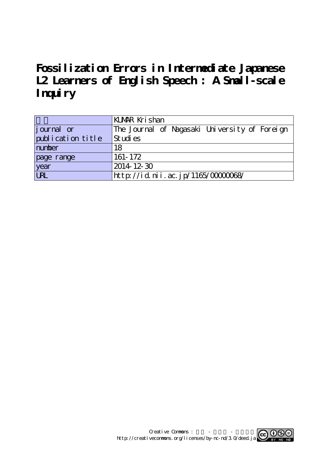**Fossilization Errors in Intermediate Japanese L2 Learners of English Speech : A Small-scale Inquiry**

|                    | KUMAR Krishan                                 |  |  |  |
|--------------------|-----------------------------------------------|--|--|--|
| <i>j</i> ournal or | The Journal of Nagasaki University of Foreign |  |  |  |
| publication title  | Studies                                       |  |  |  |
| number             | 18                                            |  |  |  |
| page range         | 161-172                                       |  |  |  |
| year<br>URL        | $2014$ 12 30                                  |  |  |  |
|                    | http://id.nii.ac.jp/1165/0000068/             |  |  |  |

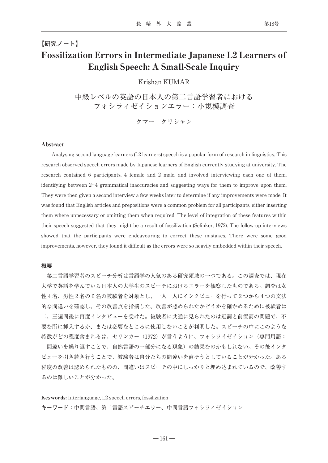## **【研究ノート】** Fossilization Errors in Intermediate Japanese L2 Learners of English Speech: A Small-Scale Inquiry

## Krishan KUMAR

中級レベルの英語の日本人の第二言語学習者における フォシラィゼイションエラー:小規模調査

クマー クリシャン

## Abstract

Analysing second language learners (L2 learners) speech is a popular form of research in linguistics. This research observed speech errors made by Japanese learners of English currently studying at university. The research contained 6 participants, 4 female and 2 male, and involved interviewing each one of them, identifying between 2~4 grammatical inaccuracies and suggesting ways for them to improve upon them. They were then given a second interview a few weeks later to determine if any improvements were made. It was found that English articles and prepositions were a common problem for all participants, either inserting them where unnecessary or omitting them when required. The level of integration of these features within their speech suggested that they might be a result of fossilization (Selinker, 1972). The follow-up interviews showed that the participants were endeavouring to correct these mistakes. There were some good improvements, however, they found it difficult as the errors were so heavily embedded within their speech.

#### **概要**

第二言語学習者のスピーチ分析は言語学の人気のある研究領域の一つである。この調査では、現在 大学で英語を学んでいる日本人の大学生のスピーチにおけるエラーを観察したものである。調査は女 性4名、男性2名の6名の被験者を対象とし、一人一人にインタビューを行って2つから4つの文法 的な間違いを確認し、その改善点を指摘した。改善が認められたかどうかを確かめるために被験者は 二、三週間後に再度インタビューを受けた。被験者に共通に見られたのは冠詞と前置詞の問題で、不 要な所に挿入するか、または必要なところに使用しないことが判明した。スピーチの中にこのような 特徴がどの程度含まれるは、セリンカー(1972)が言うように、フォシライゼイション(専門用語:

間違いを繰り返すことで、自然言語の一部分になる現象)の結果なのかもしれない。その後インタ ビューを引き続き行うことで、被験者は自分たちの間違いを直そうとしていることが分かった。ある 程度の改善は認められたものの、間違いはスピーチの中にしっかりと埋め込まれているので、改善す るのは難しいことが分かった。

Keywords: Interlanguage, L2 speech errors, fossilization **キーワード:**中間言語、第二言語スピーチエラー、中間言語フォシラィゼイション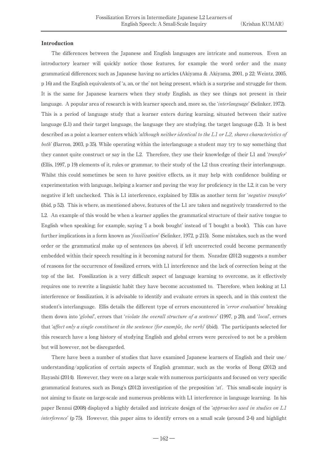## Introduction

The differences between the Japanese and English languages are intricate and numerous. Even an introductory learner will quickly notice those features, for example the word order and the many grammatical differences; such as Japanese having no articles (Akiyama & Akiyama, 2001, p 22; Weintz, 2005, p 16) and the English equivalents of ʻa, an, or the' not being present, which is a surprise and struggle for them. It is the same for Japanese learners when they study English, as they see things not present in their language. A popular area of research is with learner speech and, more so, the 'interlanguage' (Selinker, 1972). This is a period of language study that a learner enters during learning, situated between their native language (L1) and their target language, the language they are studying, the target language (L2). It is best described as a point a learner enters which *'although neither identical to the L1 or L2*, shares characteristics of both' (Barron, 2003, p 35). While operating within the interlanguage a student may try to say something that they cannot quite construct or say in the L2. Therefore, they use their knowledge of their L1 and *'transfer'* (Ellis, 1997, p 19) elements of it, rules or grammar, to their study of the L2 thus creating their interlanguage. Whilst this could sometimes be seen to have positive effects, as it may help with confidence building or experimentation with language, helping a learner and paving the way for proficiency in the L2, it can be very negative if left unchecked. This is L1 interference, explained by Ellis as another term for *'negative transfer'* (ibid, p 52). This is where, as mentioned above, features of the L1 are taken and negatively transferred to the L2. An example of this would be when a learner applies the grammatical structure of their native tongue to English when speaking; for example, saying ʻI a book bought' instead of ʻI bought a book'). This can have further implications in a form known as ʻfossilization' (Selinker, 1972, p 215). Some mistakes, such as the word order or the grammatical make up of sentences (as above), if left uncorrected could become permanently embedded within their speech resulting in it becoming natural for them. Nozadze (2012) suggests a number of reasons for the occurrence of fossilized errors, with L1 interference and the lack of correction being at the top of the list. Fossilization is a very difficult aspect of language learning to overcome, as it effectively requires one to rewrite a linguistic habit they have become accustomed to. Therefore, when looking at L1 interference or fossilization, it is advisable to identify and evaluate errors in speech, and in this context the student's interlanguage. Ellis details the different type of errors encountered in *'error evaluation*' breaking them down into *'global'*, errors that *'violate the overall structure of a sentence'* (1997, p 20), and *'local'*, errors that *affect only a single constituent in the sentence (for example, the verb)* (ibid). The participants selected for this research have a long history of studying English and global errors were perceived to not be a problem but will however, not be disregarded.

There have been a number of studies that have examined Japanese learners of English and their use/ understanding/application of certain aspects of English grammar, such as the works of Bong (2012) and Hayashi (2014). However, they were on a large scale with numerous participants and focused on very specific grammatical features, such as Bong's (2012) investigation of the preposition ʻat'. This small-scale inquiry is not aiming to fixate on large-scale and numerous problems with L1 interference in language learning. In his paper Bennui (2008) displayed a highly detailed and intricate design of the *'approaches used in studies on L1* interference' (p 75). However, this paper aims to identify errors on a small scale (around 2-4) and highlight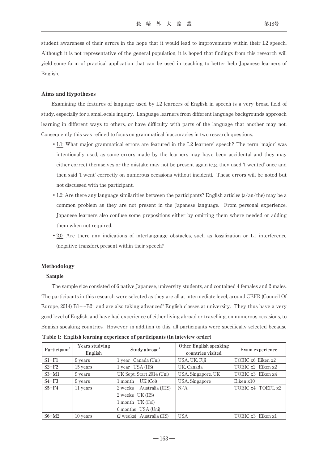student awareness of their errors in the hope that it would lead to improvements within their L2 speech. Although it is not representative of the general population, it is hoped that findings from this research will yield some form of practical application that can be used in teaching to better help Japanese learners of English.

## Aims and Hypotheses

Examining the features of language used by L2 learners of English in speech is a very broad field of study, especially for a small-scale inquiry. Language learners from different language backgrounds approach learning in different ways to others, or have difficulty with parts of the language that another may not. Consequently this was refined to focus on grammatical inaccuracies in two research questions:

- •1.1: What major grammatical errors are featured in the L2 learners' speech? The term ʻmajor' was intentionally used, as some errors made by the learners may have been accidental and they may either correct themselves or the mistake may not be present again (e.g. they used ʻI wented' once and then said ʻI went' correctly on numerous occasions without incident). These errors will be noted but not discussed with the participant.
- 1.2: Are there any language similarities between the participants? English articles (a/an/the) may be a common problem as they are not present in the Japanese language. From personal experience, Japanese learners also confuse some prepositions either by omitting them where needed or adding them when not required.
- •2.0: Are there any indications of interlanguage obstacles, such as fossilization or L1 interference (negative transfer), present within their speech?

## Methodology

#### Sample

The sample size consisted of 6 native Japanese, university students, and contained 4 females and 2 males. The participants in this research were selected as they are all at intermediate level, around CEFR (Council Of Europe, 2014)  $\rm{B1+-B2'}$ , and are also taking advanced $^2$  English classes at university. They thus have a very good level of English, and have had experience of either living abroad or travelling, on numerous occasions, to English speaking countries. However, in addition to this, all participants were specifically selected because

| Participant <sup>3</sup> | Years studying<br>English | Study abroad <sup>4</sup>          | Other English speaking<br>countries visited | Exam experience    |  |
|--------------------------|---------------------------|------------------------------------|---------------------------------------------|--------------------|--|
| $S1-F1$                  | 9 years                   | 1 year-Canada (Uni)                | USA, UK, Fiji                               | TOEIC x6; Eiken x2 |  |
| $S2-F2$                  | 15 years                  | 1 year-USA (HS)                    | UK, Canada                                  | TOEIC x2; Eiken x2 |  |
| $S3-M1$                  | 9 years                   | UK Sept. Start 2014 (Uni)          | USA, Singapore, UK                          | TOEIC x3; Eiken x4 |  |
| $S4-F3$                  | 9 years                   | $1$ month $-$ UK (Col)             | USA, Singapore                              | Eiken x10          |  |
| $S5-F4$                  | 11 years                  | $2$ weeks $-$ Australia (IHS)      | N/A                                         | TOEIC x4: TOEFL x2 |  |
|                          |                           | 2 weeks-UK (HS)                    |                                             |                    |  |
|                          |                           | $1$ month-UK (Col)                 |                                             |                    |  |
|                          |                           | 6 months-USA (Uni)                 |                                             |                    |  |
| $S6-M2$                  | 10 years                  | $(2 \text{ weeks})$ Australia (HS) | <b>USA</b>                                  | TOEIC x3: Eiken x1 |  |

Table 1: English learning experience of participants (In inteview order)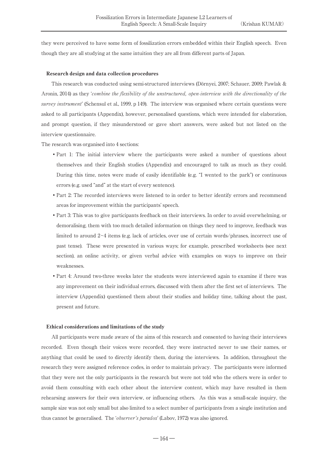they were perceived to have some form of fossilization errors embedded within their English speech. Even though they are all studying at the same intuition they are all from different parts of Japan.

#### Research design and data collection procedures

This research was conducted using semi-structured interviews (Dörnyei, 2007; Schauer, 2009; Pawlak & Aronin, 2014) as they ʻcombine the flexibility of the unstructured, open-interview with the directionality of the survey instrument' (Schensul et al., 1999, p 149). The interview was organised where certain questions were asked to all participants (Appendix), however, personalised questions, which were intended for elaboration, and prompt question, if they misunderstood or gave short answers, were asked but not listed on the interview questionnaire.

The research was organised into 4 sections:

- Part 1: The initial interview where the participants were asked a number of questions about themselves and their English studies (Appendix) and encouraged to talk as much as they could. During this time, notes were made of easily identifiable (e.g. "I wented to the park") or continuous errors (e.g. used "and" at the start of every sentence).
- •Part 2: The recorded interviews were listened to in order to better identify errors and recommend areas for improvement within the participants' speech.
- •Part 3: This was to give participants feedback on their interviews. In order to avoid overwhelming, or demoralising, them with too much detailed information on things they need to improve, feedback was limited to around 2~4 items (e.g. lack of articles, over use of certain words/phrases, incorrect use of past tense). These were presented in various ways; for example, prescribed worksheets (see next section), an online activity, or given verbal advice with examples on ways to improve on their weaknesses.
- •Part 4: Around two-three weeks later the students were interviewed again to examine if there was any improvement on their individual errors, discussed with them after the first set of interviews. The interview (Appendix) questioned them about their studies and holiday time, talking about the past, present and future.

#### Ethical considerations and limitations of the study

All participants were made aware of the aims of this research and consented to having their interviews recorded. Even though their voices were recorded, they were instructed never to use their names, or anything that could be used to directly identify them, during the interviews. In addition, throughout the research they were assigned reference codes, in order to maintain privacy. The participants were informed that they were not the only participants in the research but were not told who the others were in order to avoid them consulting with each other about the interview content, which may have resulted in them rehearsing answers for their own interview, or influencing others. As this was a small-scale inquiry, the sample size was not only small but also limited to a select number of participants from a single institution and thus cannot be generalised. The *'observer's paradox'* (Labov, 1972) was also ignored.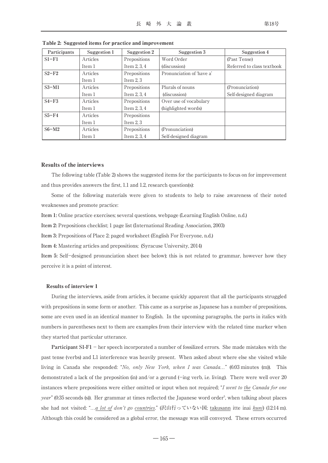| Participants | Suggestion 1 | Suggestion 2   | Suggestion 3              | Suggestion 4               |
|--------------|--------------|----------------|---------------------------|----------------------------|
| $SI-F1$      | Articles     | Prepositions   | Word Order                | (Past Tense)               |
|              | Item 1       | Item $2, 3, 4$ | (discussion)              | Referred to class textbook |
| $S2-F2$      | Articles     | Prepositions   | Pronunciation of 'have a' |                            |
|              | Item 1       | Item $2, 3$    |                           |                            |
| $S3-M1$      | Articles     | Prepositions   | Plurals of nouns          | (Pronunciation)            |
|              | Item 1       | Item $2, 3, 4$ | (discussion)              | Self-designed diagram      |
| $S4-F3$      | Articles     | Prepositions   | Over use of vocabulary    |                            |
|              | Item 1       | Item $2, 3, 4$ | (highlighted words)       |                            |
| $S5-F4$      | Articles     | Prepositions   |                           |                            |
|              | Item 1       | Item $2, 3$    |                           |                            |
| $S6-M2$      | Articles     | Prepositions   | (Pronunciation)           |                            |
|              | Item 1       | Item 2, 3, 4   | Self-designed diagram     |                            |

Table 2: Suggested items for practice and improvement

#### Results of the interviews

The following table (Table 2) shows the suggested items for the participants to focus on for improvement and thus provides answers the first, 1.1 and 1.2, research question(s):

Some of the following materials were given to students to help to raise awareness of their noted weaknesses and promote practice:

**Item 1:** Online practice exercises; several questions, webpage (Learning English Online, n.d.)

**Item 2:** Prepositions checklist; 1 page list (International Reading Association, 2003)

**Item 3:** Prepositions of Place 2; paged worksheet (English For Everyone, n.d.)

**Item 4:** Mastering articles and prepositions; (Syracuse University, 2014)

**Item 5:** Self-designed pronunciation sheet (see below); this is not related to grammar, however how they perceive it is a point of interest.

#### Results of interview 1

During the interviews, aside from articles, it became quickly apparent that all the participants struggled with prepositions in some form or another. This came as a surprise as Japanese has a number of prepositions, some are even used in an identical manner to English. In the upcoming paragraphs, the parts in italics with numbers in parentheses next to them are examples from their interview with the related time marker when they started that particular utterance.

**Participant S1-F1** - her speech incorporated a number of fossilized errors. She made mistakes with the past tense (verbs) and L1 interference was heavily present. When asked about where else she visited while living in Canada she responded: "No, only New York, when I was Canada…" (6:03 minutes (m)). This demonstrated a lack of the preposition (in) and/or a gerund (-ing verb, i.e. living). There were well over 20 instances where prepositions were either omitted or input when not required; "I went to the Canada for one *year*" (0:35 seconds (s)). Her grammar at times reflected the Japanese word order<sup>5</sup>, when talking about places she had not visited: "...a lot of don't go countries." (沢山行っていない国; takusann itte inai kuni) (12:14 m). Although this could be considered as a global error, the message was still conveyed. These errors occurred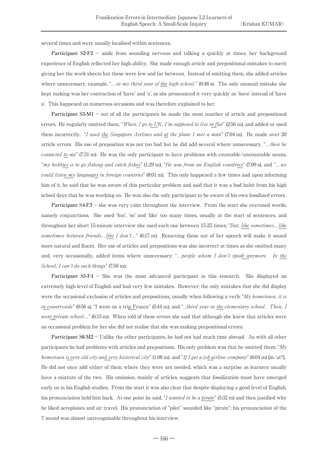several times and were usually localised within sentences.

**Participant S2-F2** - aside from sounding nervous and talking a quickly at times, her background experience of English reflected her high ability. She made enough article and prepositional mistakes to merit giving her the work sheets but these were few and far between. Instead of omitting them, she added articles where unnecessary, example, "... in my third year of the high school."  $(0.48 \text{ s})$ . The only unusual mistake she kept making was her contraction of ʻhave' and ʻa', as she pronounced it very quickly as ʻhava' instead of ʻhave a'. This happened on numerous occasions and was therefore explained to her.

**Participant S3-M1** – out of all the participants he made the most number of article and prepositional errors. He regularly omitted them, "When, I go to UK, I'm supposed to live in flat" (2:56 m), and added or used them incorrectly, "I used the Singapore Airlines and at the plane I met a man" (7:04 m). He made over 20 article errors. His use of preposition was not too bad but he did add several where unnecessary, "...then he *contacted to me*" (7:31 m). He was the only participant to have problems with countable/uncountable nouns, "my hobbies is to go fishing and catch fishes" (1:29 m), "He was from an English countries" (7:09 s), and "…we could listen my languages in foreign countries" (8:01 m). This only happened a few times and upon informing him of it, he said that he was aware of this particular problem and said that it was a bad habit from his high school days that he was working on. He was also the only participant to be aware of his own fossilized errors.

**Participant S4-F3** - she was very calm throughout the interview. From the start she overused words, namely conjunctions. She used ʻbut', ʻso' and ʻlike' too many times, usually at the start of sentences, and throughout her short 15-minute interview she used each one between 15-25 times; "But, like sometimes...like sometimes between friends...like I don't..." (6:17 m). Removing these out of her speech will make it sound more natural and fluent. Her use of articles and prepositions was also incorrect at times as she omitted many and, very occasionally, added items where unnecessary; "...people whom I don't speak anymore. In the School, I can't do such things" (7:50 m).

**Participant S5-F4** - She was the most advanced participant in this research. She displayed an extremely high level of English and had very few mistakes. However; the only mistakes that she did display were the occasional exclusion of articles and prepositions, usually when following a verb; "My hometown, it is in countryside" (0:56 s), "I went on a trip France" (5:44 m), and "..third year in the elementary school. Then, I went private school..." (6:15 m). When told of these errors she said that although she knew that articles were an occasional problem for her she did not realise that she was making prepositional errors.

**Participant S6-M2** - Unlike the other participants, he had not had much time abroad. As with all other participants he had problems with articles and prepositions. His only problem was that he omitted them; " $My$ hometown is very old city and very historical city" (1:08 m), and "If I get a job airline company" (6:04 m) [in/at?]. He did not once add either of them where they were not needed, which was a surprise as learners usually have a mixture of the two. His omission, mainly of articles, suggests that fossilization must have emerged early on in his English studies. From the start it was also clear that despite displaying a good level of English, his pronunciation held him back. At one point he said, "I wanted to be a pirate" (5:32 m) and then justified why he liked aeroplanes and air travel. His pronunciation of "pilot" sounded like "pirate"; his pronunciation of the ʻl' sound was almost unrecognisable throughout his interview.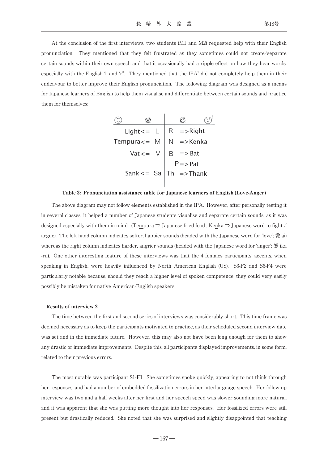At the conclusion of the first interviews, two students (M1 and M2) requested help with their English pronunciation. They mentioned that they felt frustrated as they sometimes could not create/separate certain sounds within their own speech and that it occasionally had a ripple effect on how they hear words, especially with the English  $\dot{I}$  and  $\dot{I}^*$ . They mentioned that the IPA<sup>7</sup> did not completely help them in their endeavour to better improve their English pronunciation. The following diagram was designed as a means for Japanese learners of English to help them visualise and differentiate between certain sounds and practice them for themselves:

|                   |              | 怒                                      |  |  |
|-------------------|--------------|----------------------------------------|--|--|
|                   |              | Light <= $L   R$ =>Right               |  |  |
| Tempura $\lt$ = M |              | $N = >$ Kenka                          |  |  |
|                   | $Vat \leq v$ | $\Rightarrow$ Bat                      |  |  |
|                   |              | $P \Rightarrow Pat$                    |  |  |
|                   |              | Sank <= $\operatorname{Sa}$ Th =>Thank |  |  |

#### Table 3: Pronunciation assistance table for Japanese learners of English (Love-Anger)

The above diagram may not follow elements established in the IPA. However, after personally testing it in several classes, it helped a number of Japanese students visualise and separate certain sounds, as it was designed especially with them in mind. (Tempura ⇒ Japanese fried food ; Kenka ⇒ Japanese word to fight / argue). The left hand column indicates softer, happier sounds (headed with the Japanese word for ʻlove'; 愛 ai) whereas the right column indicates harder, angrier sounds (headed with the Japanese word for 'anger'; 怒 ika -ru). One other interesting feature of these interviews was that the 4 females participants' accents, when speaking in English, were heavily influenced by North American English (US). S3-F2 and S6-F4 were particularly notable because, should they reach a higher level of spoken competence, they could very easily possibly be mistaken for native American-English speakers.

#### Results of interview 2

The time between the first and second series of interviews was considerably short. This time frame was deemed necessary as to keep the participants motivated to practice, as their scheduled second interview date was set and in the immediate future. However, this may also not have been long enough for them to show any drastic or immediate improvements. Despite this, all participants displayed improvements, in some form, related to their previous errors.

The most notable was participant **S1-F1**. She sometimes spoke quickly, appearing to not think through her responses, and had a number of embedded fossilization errors in her interlanguage speech. Her follow-up interview was two and a half weeks after her first and her speech speed was slower sounding more natural, and it was apparent that she was putting more thought into her responses. Her fossilized errors were still present but drastically reduced. She noted that she was surprised and slightly disappointed that teaching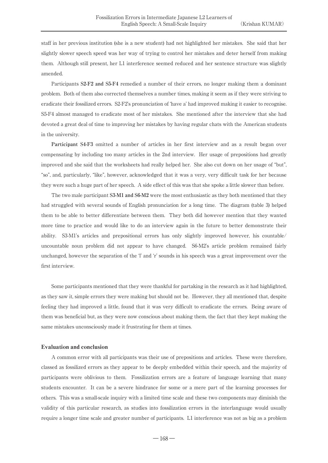staff in her previous institution (she is a new student) had not highlighted her mistakes. She said that her slightly slower speech speed was her way of trying to control her mistakes and deter herself from making them. Although still present, her L1 interference seemed reduced and her sentence structure was slightly amended.

Participants **S2-F2 and S5-F4** remedied a number of their errors, no longer making them a dominant problem. Both of them also corrected themselves a number times, making it seem as if they were striving to eradicate their fossilized errors. S2-F2's pronunciation of ʻhave a' had improved making it easier to recognise. S5-F4 almost managed to eradicate most of her mistakes. She mentioned after the interview that she had devoted a great deal of time to improving her mistakes by having regular chats with the American students in the university.

**Participant S4-F3** omitted a number of articles in her first interview and as a result began over compensating by including too many articles in the 2nd interview. Her usage of prepositions had greatly improved and she said that the worksheets had really helped her. She also cut down on her usage of "but", "so", and, particularly, "like", however, acknowledged that it was a very, very difficult task for her because they were such a huge part of her speech. A side effect of this was that she spoke a little slower than before.

The two male participant **S3-M1 and S6-M2** were the most enthusiastic as they both mentioned that they had struggled with several sounds of English pronunciation for a long time. The diagram (table 3) helped them to be able to better differentiate between them. They both did however mention that they wanted more time to practice and would like to do an interview again in the future to better demonstrate their ability. S3-M1's articles and prepositional errors has only slightly improved however, his countable/ uncountable noun problem did not appear to have changed. S6-M2's article problem remained fairly unchanged, however the separation of the ʻl' and ʻr' sounds in his speech was a great improvement over the first interview.

Some participants mentioned that they were thankful for partaking in the research as it had highlighted, as they saw it, simple errors they were making but should not be. However, they all mentioned that, despite feeling they had improved a little, found that it was very difficult to eradicate the errors. Being aware of them was beneficial but, as they were now conscious about making them, the fact that they kept making the same mistakes unconsciously made it frustrating for them at times.

### Evaluation and conclusion

A common error with all participants was their use of prepositions and articles. These were therefore, classed as fossilized errors as they appear to be deeply embedded within their speech, and the majority of participants were oblivious to them. Fossilization errors are a feature of language learning that many students encounter. It can be a severe hindrance for some or a mere part of the learning processes for others. This was a small-scale inquiry with a limited time scale and these two components may diminish the validity of this particular research, as studies into fossilization errors in the interlanguage would usually require a longer time scale and greater number of participants. L1 interference was not as big as a problem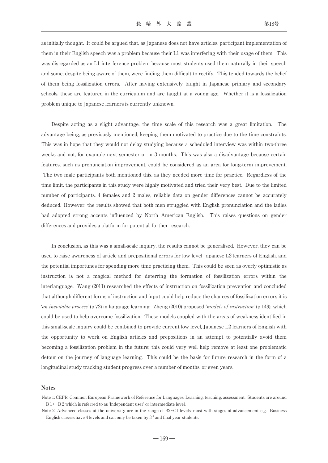as initially thought. It could be argued that, as Japanese does not have articles, participant implementation of them in their English speech was a problem because their L1 was interfering with their usage of them. This was disregarded as an L1 interference problem because most students used them naturally in their speech and some, despite being aware of them, were finding them difficult to rectify. This tended towards the belief of them being fossilization errors. After having extensively taught in Japanese primary and secondary schools, these are featured in the curriculum and are taught at a young age. Whether it is a fossilization problem unique to Japanese learners is currently unknown.

Despite acting as a slight advantage, the time scale of this research was a great limitation. The advantage being, as previously mentioned, keeping them motivated to practice due to the time constraints. This was in hope that they would not delay studying because a scheduled interview was within two-three weeks and not, for example next semester or in 3 months. This was also a disadvantage because certain features, such as pronunciation improvement, could be considered as an area for long-term improvement. The two male participants both mentioned this, as they needed more time for practice. Regardless of the time limit, the participants in this study were highly motivated and tried their very best. Due to the limited number of participants, 4 females and 2 males, reliable data on gender differences cannot be accurately deduced. However, the results showed that both men struggled with English pronunciation and the ladies had adopted strong accents influenced by North American English. This raises questions on gender differences and provides a platform for potential, further research.

In conclusion, as this was a small-scale inquiry, the results cannot be generalised. However, they can be used to raise awareness of article and prepositional errors for low level Japanese L2 learners of English, and the potential importunes for spending more time practicing them. This could be seen as overly optimistic as instruction is not a magical method for deterring the formation of fossilization errors within the interlanguage. Wang (2011) researched the effects of instruction on fossilization prevention and concluded that although different forms of instruction and input could help reduce the chances of fossilization errors it is ʻan inevitable process' (p 72) in language learning. Zheng (2010) proposed ʻmodels of instruction' (p 149), which could be used to help overcome fossilization. These models coupled with the areas of weakness identified in this small-scale inquiry could be combined to provide current low level, Japanese L2 learners of English with the opportunity to work on English articles and prepositions in an attempt to potentially avoid them becoming a fossilization problem in the future; this could very well help remove at least one problematic detour on the journey of language learning. This could be the basis for future research in the form of a longitudinal study tracking student progress over a number of months, or even years.

## Notes

Note 1: CEFR: Common European Framework of Reference for Languages: Learning, teaching, assessment. Students are around B 1+~B 2 which is referred to as ʻIndependent user' or intermediate level.

Note 2: Advanced classes at the university are in the range of B2~C1 levels: most with stages of advancement e.g. Business English classes have 4 levels and can only be taken by  $3<sup>rd</sup>$  and final year students.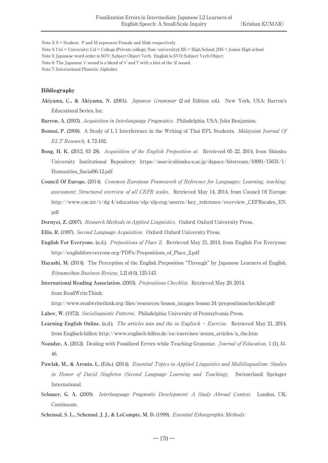Note 3: S = Student. F and M represent Female and Male respectively

- Note 4: Uni = University; Col = College (Private college; Non-university); HS = High School; JHS = Junior High school
- Note 5: Japanese word order is SOV; Subject Object Verb. English is SVO; Subject Verb Object
- Note 6: The Japanese ʻr' sound is a blend of ʻr' and ʻl' with a hint of the ʻd' sound.
- Note 7: International Phonetic Alphabet

## Bibliography

**Akiyama, C., & Akiyama, N.** (2001). Japanese Grammar (2 nd Edition ed.). New York, USA: Barron's Educational Series, Inc.

**Barron, A.** (2003). Acquisition in Interlanguage Pragmatics. Philadelphia, USA: John Benjamins.

- **Bennui, P.** (2008). A Study of L 1 Interference in the Writing of Thai EFL Students. Malaysian Journal Of ELT Research, 4, 72-102.
- **Bong, H. K.** (2012, 03 28). Acquisition of the English Preposition at. Retrieved 05 22, 2014, from Shinshu University Institutional Repository: https://soar-ir.shinshu-u.ac.jp/dspace/bitstream/10091/15631/1/ Humanities\_Social06-12.pdf
- **Council Of Europe.** (2014). Common European Framework of Reference for Languages: Learning, teaching, assessment: Structured overview of all CEFR scales. Retrieved May 14, 2014, from Council Of Europe: http://www.coe.int/t/dg 4/education/elp/elp-reg/source/key\_reference/overview\_CEFRscales\_EN. pdf
- **Dornyei, Z.** (2007). Research Methods in Applied Linguistics. Oxford: Oxford University Press.
- **Ellis, R.** (1997). Second Language Acquisition. Oxford: Oxford University Press.
- **English For Everyone.** (n.d.). Prepositions of Place 2. Retrieved May 21, 2014, from English For Everyone: http://englishforeveryone.org/PDFs/Prepositions\_of\_Place\_2.pdf
- **Hayashi, M.** (2014). The Perception of the English Preposition "Through" by Japanese Learners of English. Ritsumeikan Business Review, LII (4·5), 125-143.

**International Reading Association.** (2003). Prepositions Checklist. Retrieved May 20, 2014, from ReadWriteThink:

http://www.readwritethink.org/files/resources/lesson\_images/lesson 34/prepositionschecklist.pdf

**Labov, W.** (1972). Sociolinguistic Patterns. Philadelphia: University of Pennsylvania Press.

- **Learning English Online.** (n.d.). The articles a⁄an and the in Englisch Exercise. Retrieved May 21, 2014, from Englisch-hilfen: http://www.englisch-hilfen.de/en/exercises/nouns\_articles/a\_the.htm
- **Nozadze, A.** (2012). Dealing with Fossilized Errors while Teaching Grammar. Journal of Education, 1 (1), 41- 46.
- **Pawlak, M., & Aronin, L.** (Eds.). (2014). Essential Topics in Applied Linguistics and Multilingualism: Studies in Honor of David Singleton (Second Language Learning and Teaching). Switzerland: Springer International.
- **Schauer, G. A.** (2009). Interlanguage Pragmatic Development: A Study Abroad Context. London, UK: Continuum.
- **Schensul, S. L., Schensul, J. J., & LeCompte, M. D.** (1999). Essential Ethnographic Methods: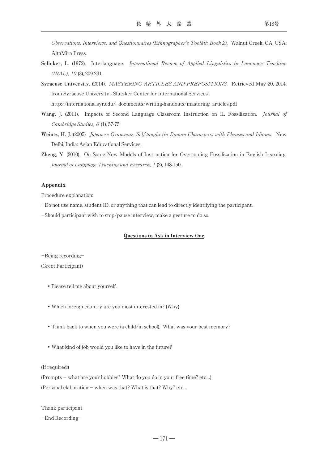Observations, Interviews, and Questionnaires (Ethnographer's Toolkit: Book 2). Walnut Creek, CA, USA: AltaMira Press.

- **Selinker, L.** (1972). Interlanguage. International Review of Applied Linguistics in Language Teaching  $(IRAL)$ , 10 (3), 209-231.
- **Syracuse University.** (2014). MASTERING ARTICLES AND PREPOSITIONS. Retrieved May 20, 2014, from Syracuse University - Slutzker Center for International Services: http://international.syr.edu/\_documents/writing-handouts/mastering\_articles.pdf
- Wang, J. (2011). Impacts of Second Language Classroom Instruction on IL Fossilization. *Journal of* Cambridge Studies, 6 (1), 57-75.
- **Weintz, H. J.** (2005). Japanese Grammar: Self-taught (in Roman Characters) with Phrases and Idioms. New Delhi, India: Asian Educational Services.
- **Zheng, Y.** (2010). On Some New Models of Instruction for Overcoming Fossilization in English Learning. Journal of Language Teaching and Research, 1 (2), 148-150.

## Appendix

Procedure explanation:

-Do not use name, student ID, or anything that can lead to directly identifying the participant.

-Should participant wish to stop/pause interview, make a gesture to do so.

## Questions to Ask in Interview One

-Being recording-

## (Greet Participant)

- •Please tell me about yourself.
- •Which foreign country are you most interested in? (Why)
- •Think back to when you were (a child/in school). What was your best memory?
- •What kind of job would you like to have in the future?

## (If required:)

(Prompts - what are your hobbies? What do you do in your free time? etc…) (Personal elaboration  $-$  when was that? What is that? Why? etc...

Thank participant

-End Recording-